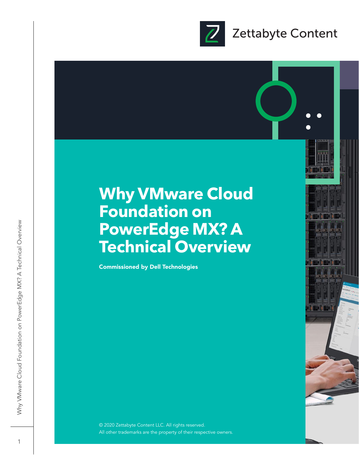

### **Why VMware Cloud Foundation on PowerEdge MX? A Technical Overview**

Commissioned by Dell Technologies

© 2020 Zettabyte Content LLC. All rights reserved. All other trademarks are the property of their respective owners.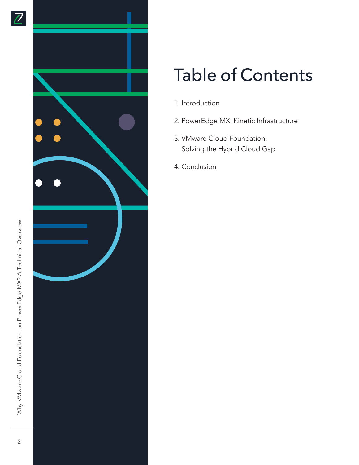

# Table of Contents

- 1. Introduction
- 2. PowerEdge MX: Kinetic Infrastructure
- 3. VMware Cloud Foundation: Solving the Hybrid Cloud Gap
- 4. Conclusion

 $\overline{2}$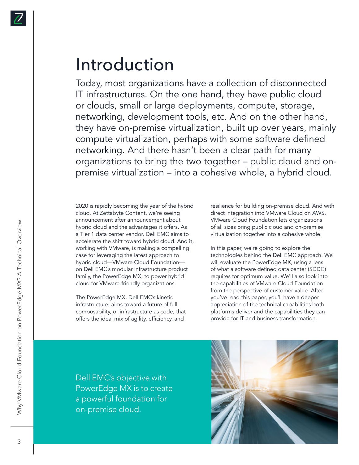

### Introduction

Today, most organizations have a collection of disconnected IT infrastructures. On the one hand, they have public cloud or clouds, small or large deployments, compute, storage, networking, development tools, etc. And on the other hand, they have on-premise virtualization, built up over years, mainly compute virtualization, perhaps with some software defined networking. And there hasn't been a clear path for many organizations to bring the two together – public cloud and onpremise virtualization – into a cohesive whole, a hybrid cloud.

2020 is rapidly becoming the year of the hybrid cloud. At Zettabyte Content, we're seeing announcement after announcement about hybrid cloud and the advantages it offers. As a Tier 1 data center vendor, Dell EMC aims to accelerate the shift toward hybrid cloud. And it, working with VMware, is making a compelling case for leveraging the latest approach to hybrid cloud—VMware Cloud Foundation on Dell EMC's modular infrastructure product family, the PowerEdge MX, to power hybrid cloud for VMware-friendly organizations.

The PowerEdge MX, Dell EMC's kinetic infrastructure, aims toward a future of full composability, or infrastructure as code, that offers the ideal mix of agility, efficiency, and

resilience for building on-premise cloud. And with direct integration into VMware Cloud on AWS, VMware Cloud Foundation lets organizations of all sizes bring public cloud and on-premise virtualization together into a cohesive whole.

In this paper, we're going to explore the technologies behind the Dell EMC approach. We will evaluate the PowerEdge MX, using a lens of what a software defined data center (SDDC) requires for optimum value. We'll also look into the capabilities of VMware Cloud Foundation from the perspective of customer value. After you've read this paper, you'll have a deeper appreciation of the technical capabilities both platforms deliver and the capabilities they can provide for IT and business transformation.

Dell EMC's objective with PowerEdge MX is to create a powerful foundation for on-premise cloud.

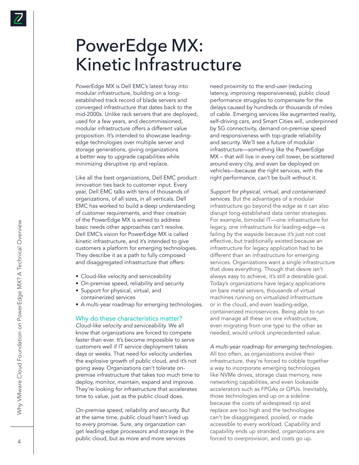### PowerEdge MX: Kinetic Infrastructure

PowerEdge MX is Dell EMC's latest foray into modular infrastructure, building on a longestablished track record of blade servers and converged infrastructure that dates back to the mid-2000s. Unlike rack servers that are deployed, used for a few years, and decommissioned, modular infrastructure offers a different value proposition. It's intended to showcase leadingedge technologies over multiple server and storage generations, giving organizations a better way to upgrade capabilities while minimizing disruptive rip and replace.

Like all the best organizations, Dell EMC product innovation ties back to customer input. Every year, Dell EMC talks with tens of thousands of organizations, of all sizes, in all verticals. Dell EMC has worked to build a deep understanding of customer requirements, and their creation of the PowerEdge MX is aimed to address basic needs other approaches can't resolve. Dell EMC's vision for PowerEdge MX is called kinetic infrastructure, and it's intended to give customers a platform for emerging technologies. They describe it as a path to fully composed and disaggregated infrastructure that offers:

- Cloud-like velocity and serviceability
- On-premise speed, reliability and security
- Support for physical, virtual, and containerized services
- A multi-year roadmap for emerging technologies.

#### Why do these characteristics matter?

*Cloud-like velocity and serviceability.* We all know that organizations are forced to compete faster than ever. It's become impossible to serve customers well if IT service deployment takes days or weeks. That need for velocity underlies the explosive growth of public cloud, and it's not going away. Organizations can't tolerate onpremise infrastructure that takes too much time to deploy, monitor, maintain, expand and improve. They're looking for infrastructure that accelerates time to value, just as the public cloud does.

*On-premise speed, reliability and security.* But at the same time, public cloud hasn't lived up to every promise. Sure, any organization can get leading-edge processors and storage in the public cloud, but as more and more services

need proximity to the end-user (reducing latency, improving responsiveness), public cloud performance struggles to compensate for the delays caused by hundreds or thousands of miles of cable. Emerging services like augmented reality, self-driving cars, and Smart Cities will, underpinned by 5G connectivity, demand on-premise speed and responsiveness with top-grade reliability and security. We'll see a future of modular infrastructure—something like the PowerEdge MX – that will live in every cell tower, be scattered around every city, and even be deployed on vehicles—because the right services, with the right performance, can't be built without it.

*Support for physical, virtual, and containerized services.* But the advantages of a modular infrastructure go beyond the edge as it can also disrupt long-established data center strategies. For example, bimodal IT—one infrastructure for legacy, one infrastructure for leading-edge—is failing by the wayside because it's just not cost effective, but traditionally existed because an infrastructure for legacy application had to be different than an infrastructure for emerging services. Organizations want a single infrastructure that does everything. Though that desire isn't always easy to achieve, it's still a desirable goal. Today's organizations have legacy applications on bare metal servers, thousands of virtual machines running on virtualized infrastructure or in the cloud, and even leading-edge, containerized microservices. Being able to run and manage all these on one infrastructure, even migrating from one type to the other as needed, would unlock unprecedented value.

#### *A multi-year roadmap for emerging technologies.*  All too often, as organizations evolve their infrastructure, they're forced to cobble together a way to incorporate emerging technologies like NVMe drives, storage class memory, new networking capabilities, and even lookaside accelerators such as FPGAs or GPUs. Inevitably, those technologies end up on a sideline because the costs of widespread rip and replace are too high and the technologies can't be disaggregated, pooled, or made accessible to every workload. Capability and capability ends up stranded, organizations are forced to overprovision, and costs go up.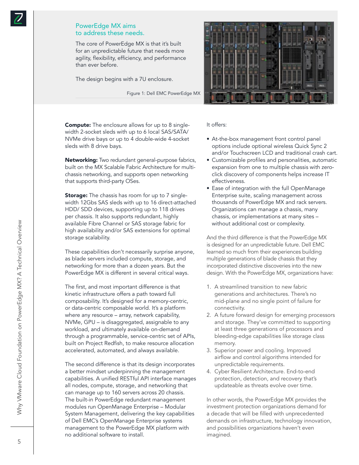#### PowerEdge MX aims to address these needs.

The core of PowerEdge MX is that it's built for an unpredictable future that needs more agility, flexibility, efficiency, and performance than ever before.

The design begins with a 7U enclosure.

Figure 1: Dell EMC PowerEdge MX



**Compute:** The enclosure allows for up to 8 singlewidth 2-socket sleds with up to 6 local SAS/SATA/ NVMe drive bays or up to 4 double-wide 4-socket sleds with 8 drive bays.

Networking: Two redundant general-purpose fabrics, built on the MX Scalable Fabric Architecture for multichassis networking, and supports open networking that supports third-party OSes.

**Storage:** The chassis has room for up to 7 singlewidth 12Gbs SAS sleds with up to 16 direct-attached HDD/ SDD devices, supporting up to 118 drives per chassis. It also supports redundant, highly available Fibre Channel or SAS storage fabric for high availability and/or SAS extensions for optimal storage scalability.

These capabilities don't necessarily surprise anyone, as blade servers included compute, storage, and networking for more than a dozen years. But the PowerEdge MX is different in several critical ways.

The first, and most important difference is that kinetic infrastructure offers a path toward full composability. It's designed for a memory-centric, or data-centric composable world. It's a platform where any resource – array, network capability, NVMe, GPU – is disaggregated, assignable to any workload, and ultimately available on-demand through a programmable, service-centric set of APIs, built on Project Redfish, to make resource allocation accelerated, automated, and always available.

The second difference is that its design incorporates a better mindset underpinning the management capabilities. A unified RESTful API interface manages all nodes, compute, storage, and networking that can manage up to 160 servers across 20 chassis. The built-in PowerEdge redundant management modules run OpenManage Enterprise – Modular System Management, delivering the key capabilities of Dell EMC's OpenManage Enterprise systems management to the PowerEdge MX platform with no additional software to install.

#### It offers:

- At-the-box management front control panel options include optional wireless Quick Sync 2 and/or Touchscreen LCD and traditional crash cart.
- Customizable profiles and personalities, automatic expansion from one to multiple chassis with zeroclick discovery of components helps increase IT effectiveness.
- Ease of integration with the full OpenManage Enterprise suite, scaling management across thousands of PowerEdge MX and rack servers. Organizations can manage a chassis, many chassis, or implementations at many sites – without additional cost or complexity.

And the third difference is that the PowerEdge MX is designed for an unpredictable future. Dell EMC learned so much from their experiences building multiple generations of blade chassis that they incorporated distinctive discoveries into the new design. With the PowerEdge MX, organizations have:

- 1. A streamlined transition to new fabric generations and architectures. There's no mid-plane and no single point of failure for connectivity.
- 2. A future forward design for emerging processors and storage. They've committed to supporting at least three generations of processors and bleeding-edge capabilities like storage class memory.
- 3. Superior power and cooling. Improved airflow and control algorithms intended for unpredictable requirements.
- 4. Cyber Resilient Architecture. End-to-end protection, detection, and recovery that's updateable as threats evolve over time.

In other words, the PowerEdge MX provides the investment protection organizations demand for a decade that will be filled with unprecedented demands on infrastructure, technology innovation, and possibilities organizations haven't even imagined.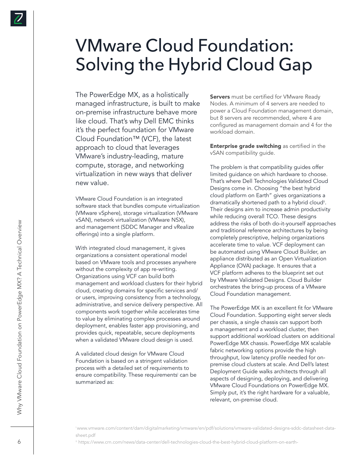### VMware Cloud Foundation: Solving the Hybrid Cloud Gap

The PowerEdge MX, as a holistically managed infrastructure, is built to make on-premise infrastructure behave more like cloud. That's why Dell EMC thinks it's the perfect foundation for VMware Cloud Foundation™ (VCF), the latest approach to cloud that leverages VMware's industry-leading, mature compute, storage, and networking virtualization in new ways that deliver new value.

VMware Cloud Foundation is an integrated software stack that bundles compute virtualization (VMware vSphere), storage virtualization (VMware vSAN), network virtualization (VMware NSX), and management (SDDC Manager and vRealize offerings) into a single platform.

With integrated cloud management, it gives organizations a consistent operational model based on VMware tools and processes anywhere without the complexity of app re-writing. Organizations using VCF can build both management and workload clusters for their hybrid cloud, creating domains for specific services and/ or users, improving consistency from a technology, administrative, and service delivery perspective. All components work together while accelerates time to value by eliminating complex processes around deployment, enables faster app provisioning, and provides quick, repeatable, secure deployments when a validated VMware cloud design is used.

A validated cloud design for VMware Cloud Foundation is based on a stringent validation process with a detailed set of requirements to ensure compatibility. These requirementsi can be summarized as:

**Servers** must be certified for VMware Ready Nodes. A minimum of 4 servers are needed to power a Cloud Foundation management domain, but 8 servers are recommended, where 4 are configured as management domain and 4 for the workload domain.

**Enterprise grade switching** as certified in the vSAN compatibility guide.

The problem is that compatibility guides offer limited guidance on which hardware to choose. That's where Dell Technologies Validated Cloud Designs come in. Choosing "the best hybrid cloud platform on Earth" gives organizations a dramatically shortened path to a hybrid cloud<sup>ii</sup>. Their designs aim to increase admin productivity while reducing overall TCO. These designs address the risks of both do-it-yourself approaches and traditional reference architectures by being completely prescriptive, helping organizations accelerate time to value. VCF deployment can be automated using VMware Cloud Builder, an appliance distributed as an Open Virtualization Appliance (OVA) package. It ensures that a VCF platform adheres to the blueprint set out by VMware Validated Designs. Cloud Builder orchestrates the bring-up process of a VMware Cloud Foundation management.

The PowerEdge MX is an excellent fit for VMware Cloud Foundation. Supporting eight server sleds per chassis, a single chassis can support both a management and a workload cluster, then support additional workload clusters on additional PowerEdge MX chassis. PowerEdge MX scalable fabric networking options provide the high throughput, low latency profile needed for onpremise cloud clusters at scale. And Dell's latest Deployment Guide walks architects through all aspects of designing, deploying, and delivering VMware Cloud Foundations on PowerEdge MX. Simply put, it's the right hardware for a valuable, relevant, on-premise cloud.

i www.vmware.com/content/dam/digitalmarketing/vmware/en/pdf/solutions/vmware-validated-designs-sddc-datasheet-datasheet.pdf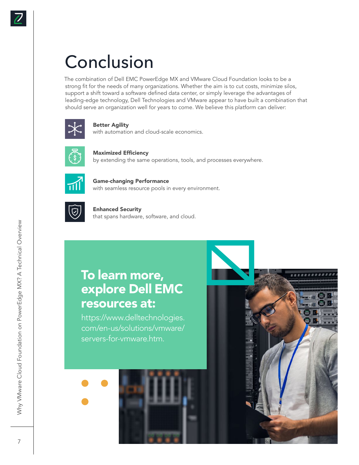## Conclusion

The combination of Dell EMC PowerEdge MX and VMware Cloud Foundation looks to be a strong fit for the needs of many organizations. Whether the aim is to cut costs, minimize silos, support a shift toward a software defined data center, or simply leverage the advantages of leading-edge technology, Dell Technologies and VMware appear to have built a combination that should serve an organization well for years to come. We believe this platform can deliver:



#### Better Agility

with automation and cloud-scale economics.



Maximized Efficiency by extending the same operations, tools, and processes everywhere.



Game-changing Performance with seamless resource pools in every environment.



Enhanced Security that spans hardware, software, and cloud.

### To learn more, explore Dell EMC resources at:

https://www.delltechnologies. com/en-us/solutions/vmware/ servers-for-vmware.htm.